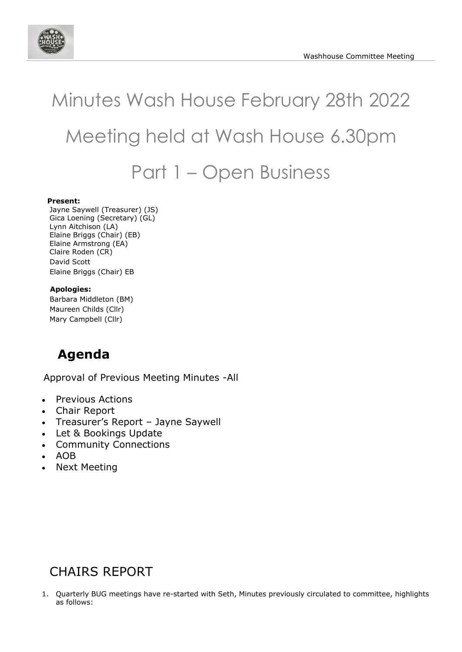

# Minutes Wash House February 28th 2022 Meeting held at Wash House 6.30pm Part 1 – Open Business

#### **Present:**

Jayne Saywell (Treasurer) (JS) Gica Loening (Secretary) (GL) Lynn Aitchison (LA) Elaine Briggs (Chair) (EB) Elaine Armstrong (EA) Claire Roden (CR) David Scott Elaine Briggs (Chair) EB

#### **Apologies:**

Barbara Middleton (BM) Maureen Childs (Cllr) Mary Campbell (Cllr)

# **Agenda**

Approval of Previous Meeting Minutes -All

- Previous Actions
- Chair Report
- Treasurer's Report Jayne Saywell
- Let & Bookings Update
- Community Connections
- AOB
- Next Meeting

## CHAIRS REPORT

1. Quarterly BUG meetings have re-started with Seth, Minutes previously circulated to committee, highlights as follows: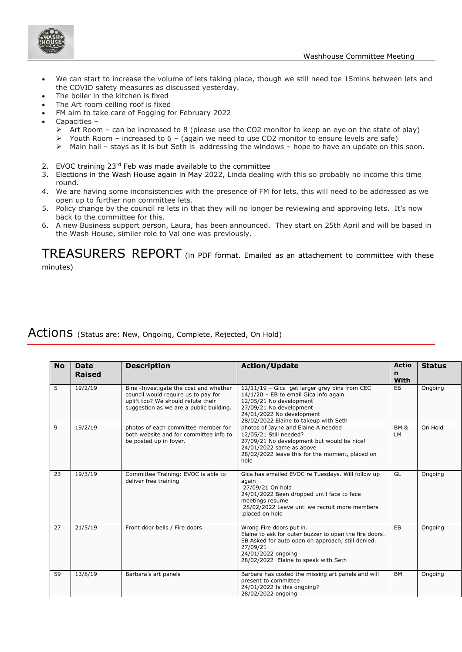

- We can start to increase the volume of lets taking place, though we still need toe 15mins between lets and the COVID safety measures as discussed yesterday.
- The boiler in the kitchen is fixed
- The Art room ceiling roof is fixed
- FM aim to take care of Fogging for February 2022
- Capacities
	- Art Room can be increased to 8 (please use the CO2 monitor to keep an eye on the state of play)
	- $\triangleright$  Youth Room increased to 6 (again we need to use CO2 monitor to ensure levels are safe)
	- ➢ Main hall stays as it is but Seth is addressing the windows hope to have an update on this soon.
- 2. EVOC training 23rd Feb was made available to the committee
- 3. Elections in the Wash House again in May 2022, Linda dealing with this so probably no income this time round.
- 4. We are having some inconsistencies with the presence of FM for lets, this will need to be addressed as we open up to further non committee lets.
- 5. Policy change by the council re lets in that they will no longer be reviewing and approving lets. It's now back to the committee for this.
- 6. A new Business support person, Laura, has been announced. They start on 25th April and will be based in the Wash House, similer role to Val one was previously.

TREASURERS REPORT (in PDF format. Emailed as an attachement to committee with these minutes)

#### Actions (Status are: New, Ongoing, Complete, Rejected, On Hold)

| <b>No</b> | <b>Date</b><br><b>Raised</b> | <b>Description</b>                                                                                                                                             | <b>Action/Update</b>                                                                                                                                                                                               | <b>Actio</b><br>n<br>With    | <b>Status</b> |
|-----------|------------------------------|----------------------------------------------------------------------------------------------------------------------------------------------------------------|--------------------------------------------------------------------------------------------------------------------------------------------------------------------------------------------------------------------|------------------------------|---------------|
| 5         | 19/2/19                      | Bins -Investigate the cost and whether<br>council would require us to pay for<br>uplift too? We should refute their<br>suggestion as we are a public building. | 12/11/19 - Gica get larger grey bins from CEC<br>14/1/20 - EB to email Gica info again<br>12/05/21 No development<br>27/09/21 No development<br>24/01/2022 No development<br>28/02/2022 Elaine to takeup with Seth | EB                           | Ongoing       |
| 9         | 19/2/19                      | photos of each committee member for<br>both website and for committee info to<br>be posted up in foyer.                                                        | photos of Jayne and Elaine A needed<br>12/05/21 Still needed?<br>27/09/21 No development but would be nice!<br>24/01/2022 same as above<br>28/02/2022 leave this for the moment, placed on<br>hold                 | <b>BM &amp;</b><br><b>LM</b> | On Hold       |
| 23        | 19/3/19                      | Committee Training: EVOC is able to<br>deliver free training                                                                                                   | Gica has emailed EVOC re Tuesdays. Will follow up<br>again<br>27/09/21 On hold<br>24/01/2022 Been dropped until face to face<br>meetings resume<br>28/02/2022 Leave unti we recruit more members<br>placed on hold | GL                           | Ongoing       |
| 27        | 21/5/19                      | Front door bells / Fire doors                                                                                                                                  | Wrong Fire doors put in.<br>Elaine to ask for outer buzzer to open the fire doors.<br>EB Asked for auto open on approach, still denied.<br>27/09/21<br>24/01/2022 ongoing<br>28/02/2022 Elaine to speak with Seth  | EB                           | Ongoing       |
| 59        | 13/8/19                      | Barbara's art panels                                                                                                                                           | Barbara has costed the missing art panels and will<br>present to committee<br>24/01/2022 Is this ongoing?<br>28/02/2022 ongoing                                                                                    | <b>BM</b>                    | Ongoing       |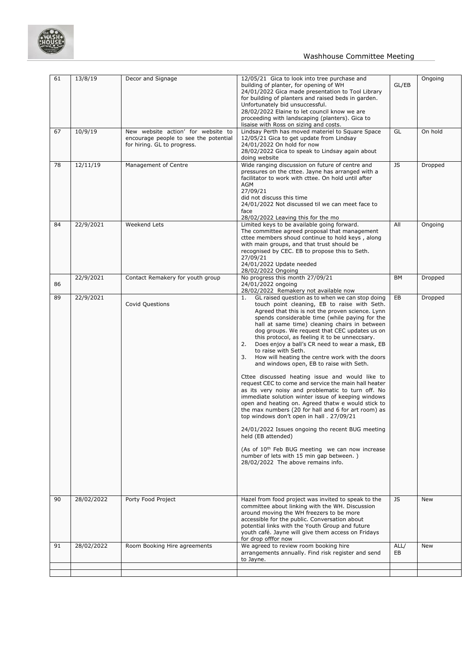

#### Washhouse Committee Meeting

| 61 | 13/8/19    | Decor and Signage                                                                                          | 12/05/21 Gica to look into tree purchase and<br>building of planter, for opening of WH<br>24/01/2022 Gica made presentation to Tool Library<br>for building of planters and raised beds in garden.<br>Unfortunately bid unsuccessful.<br>28/02/2022 Elaine to let council know we are<br>proceeding with landscaping (planters). Gica to<br>lisaise with Ross on sizing and costs.                                                                                                                                                                                                                                                                                                                                                                                                                                                                                                                                                                                                                                                                                                                                                                             | GL/EB      | Ongoing |
|----|------------|------------------------------------------------------------------------------------------------------------|----------------------------------------------------------------------------------------------------------------------------------------------------------------------------------------------------------------------------------------------------------------------------------------------------------------------------------------------------------------------------------------------------------------------------------------------------------------------------------------------------------------------------------------------------------------------------------------------------------------------------------------------------------------------------------------------------------------------------------------------------------------------------------------------------------------------------------------------------------------------------------------------------------------------------------------------------------------------------------------------------------------------------------------------------------------------------------------------------------------------------------------------------------------|------------|---------|
| 67 | 10/9/19    | New website action' for website to<br>encourage people to see the potential<br>for hiring. GL to progress. | Lindsay Perth has moved materiel to Square Space<br>12/05/21 Gica to get update from Lindsay<br>24/01/2022 On hold for now<br>28/02/2022 Gica to speak to Lindsay again about<br>doing website                                                                                                                                                                                                                                                                                                                                                                                                                                                                                                                                                                                                                                                                                                                                                                                                                                                                                                                                                                 | GL         | On hold |
| 78 | 12/11/19   | Management of Centre                                                                                       | Wide ranging discussion on future of centre and<br>pressures on the cttee. Jayne has arranged with a<br>facilitator to work with cttee. On hold until after<br><b>AGM</b><br>27/09/21<br>did not discuss this time<br>24/01/2022 Not discussed til we can meet face to<br>face<br>28/02/2022 Leaving this for the mo                                                                                                                                                                                                                                                                                                                                                                                                                                                                                                                                                                                                                                                                                                                                                                                                                                           | JS         | Dropped |
| 84 | 22/9/2021  | <b>Weekend Lets</b>                                                                                        | Limited keys to be available going forward.<br>The committee agreed proposal that management<br>cttee members shoud continue to hold keys, along<br>with main groups, and that trust should be<br>recognised by CEC. EB to propose this to Seth.<br>27/09/21<br>24/01/2022 Update needed<br>28/02/2022 Ongoing                                                                                                                                                                                                                                                                                                                                                                                                                                                                                                                                                                                                                                                                                                                                                                                                                                                 | All        | Ongoing |
| 86 | 22/9/2021  | Contact Remakery for youth group                                                                           | No progress this month 27/09/21<br>24/01/2022 ongoing<br>28/02/2022 Remakery not available now                                                                                                                                                                                                                                                                                                                                                                                                                                                                                                                                                                                                                                                                                                                                                                                                                                                                                                                                                                                                                                                                 | BM         | Dropped |
| 89 | 22/9/2021  | <b>Covid Questions</b>                                                                                     | GL raised question as to when we can stop doing<br>1.<br>touch point cleaning, EB to raise with Seth.<br>Agreed that this is not the proven science. Lynn<br>spends considerable time (while paying for the<br>hall at same time) cleaning chairs in between<br>dog groups. We request that CEC updates us on<br>this protocol, as feeling it to be unneccsary.<br>2.<br>Does enjoy a ball's CR need to wear a mask, EB<br>to raise with Seth.<br>How will heating the centre work with the doors<br>3.<br>and windows open, EB to raise with Seth.<br>Cttee discussed heating issue and would like to<br>request CEC to come and service the main hall heater<br>as its very noisy and problematic to turn off. No<br>immediate solution winter issue of keeping windows<br>open and heating on. Agreed thatw e would stick to<br>the max numbers (20 for hall and 6 for art room) as<br>top windows don't open in hall . 27/09/21<br>24/01/2022 Issues ongoing tho recent BUG meeting<br>held (EB attended)<br>(As of 10 <sup>th</sup> Feb BUG meeting we can now increase<br>number of lets with 15 min gap between.)<br>28/02/2022 The above remains info. | EB         | Dropped |
| 90 | 28/02/2022 | Porty Food Project                                                                                         | Hazel from food project was invited to speak to the<br>committee about linking with the WH. Discussion<br>around moving the WH freezers to be more<br>accessible for the public. Conversation about<br>potential links with the Youth Group and future<br>youth café. Jayne will give them access on Fridays<br>for drop offfor now                                                                                                                                                                                                                                                                                                                                                                                                                                                                                                                                                                                                                                                                                                                                                                                                                            | JS         | New     |
| 91 | 28/02/2022 | Room Booking Hire agreements                                                                               | We agreed to review room booking hire<br>arrangements annually. Find risk register and send<br>to Jayne.                                                                                                                                                                                                                                                                                                                                                                                                                                                                                                                                                                                                                                                                                                                                                                                                                                                                                                                                                                                                                                                       | ALL/<br>EB | New     |
|    |            |                                                                                                            |                                                                                                                                                                                                                                                                                                                                                                                                                                                                                                                                                                                                                                                                                                                                                                                                                                                                                                                                                                                                                                                                                                                                                                |            |         |